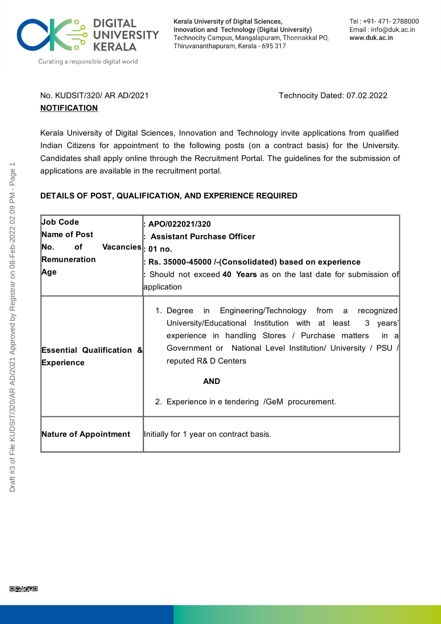

Kerala University of Digital Sciences, Innovation and Technology (Digital University) Technocity Campus, Mangalapuram, Thonnakkal PO, Thiruvananthapuram, Kerala - 695 317

## No. KUDSIT/320/ AR AD/2021 Technocity Dated: 07.02.2022 **NOTIFICATION**

Kerala University of Digital Sciences, Innovation and Technology invite applications from qualified Indian Citizens for appointment to the following posts (on a contract basis) for the University. Candidates shall apply online through the Recruitment Portal. The guidelines for the submission of applications are available in the recruitment portal.

# **DETAILS OF POST, QUALIFICATION, AND EXPERIENCE REQUIRED**

| Job Code                                                  | : APO/022021/320                                                                                                                                                                                                                                                                                                                          |
|-----------------------------------------------------------|-------------------------------------------------------------------------------------------------------------------------------------------------------------------------------------------------------------------------------------------------------------------------------------------------------------------------------------------|
| Name of Post                                              | <b>Assistant Purchase Officer</b>                                                                                                                                                                                                                                                                                                         |
| No.<br>of<br>Vacancies : 01 no.                           |                                                                                                                                                                                                                                                                                                                                           |
| Remuneration                                              | : Rs. 35000-45000 /-(Consolidated) based on experience                                                                                                                                                                                                                                                                                    |
| Age                                                       | : Should not exceed 40 Years as on the last date for submission of                                                                                                                                                                                                                                                                        |
|                                                           | application                                                                                                                                                                                                                                                                                                                               |
| <b>Essential Qualification &amp;</b><br><b>Experience</b> | 1. Degree in Engineering/Technology from a recognized<br>University/Educational Institution with at least<br>3 years'<br>experience in handling Stores / Purchase matters<br>in a<br>Government or National Level Institution/ University / PSU /<br>reputed R& D Centers<br><b>AND</b><br>2. Experience in e tendering /GeM procurement. |
| <b>Nature of Appointment</b>                              | Initially for 1 year on contract basis.                                                                                                                                                                                                                                                                                                   |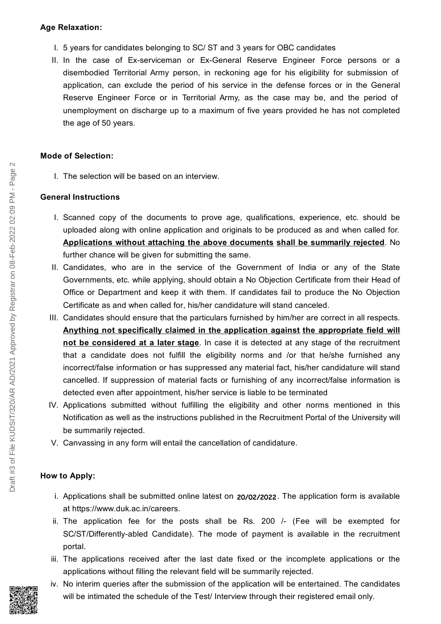#### **Age Relaxation:**

- I. 5 years for candidates belonging to SC/ ST and 3 years for OBC candidates
- II. In the case of Ex-serviceman or Ex-General Reserve Engineer Force persons or a disembodied Territorial Army person, in reckoning age for his eligibility for submission of application, can exclude the period of his service in the defense forces or in the General Reserve Engineer Force or in Territorial Army, as the case may be, and the period of unemployment on discharge up to a maximum of five years provided he has not completed the age of 50 years.

### **Mode of Selection:**

I. The selection will be based on an interview.

## **General Instructions**

- I. Scanned copy of the documents to prove age, qualifications, experience, etc. should be uploaded along with online application and originals to be produced as and when called for. **Applications without attaching the above documents shall be summarily rejected**. No further chance will be given for submitting the same.
- II. Candidates, who are in the service of the Government of India or any of the State Governments, etc. while applying, should obtain a No Objection Certificate from their Head of Office or Department and keep it with them. If candidates fail to produce the No Objection Certificate as and when called for, his/her candidature will stand canceled.
- III. Candidates should ensure that the particulars furnished by him/her are correct in all respects. **Anything not specifically claimed in the application against the appropriate field will not be considered at a later stage**. In case it is detected at any stage of the recruitment that a candidate does not fulfill the eligibility norms and /or that he/she furnished any incorrect/false information or has suppressed any material fact, his/her candidature will stand cancelled. If suppression of material facts or furnishing of any incorrect/false information is detected even after appointment, his/her service is liable to be terminated
- IV. Applications submitted without fulfilling the eligibility and other norms mentioned in this Notification as well as the instructions published in the Recruitment Portal of the University will be summarily rejected.
- V. Canvassing in any form will entail the cancellation of candidature.

# **How to Apply:**

- i. Applications shall be submitted online latest on 20/02/2022. The application form is available at [https://www.duk.ac.in/careers.](https://www.duk.ac.in/careers)
- ii. The application fee for the posts shall be Rs. 200 /- (Fee will be exempted for SC/ST/Differently-abled Candidate). The mode of payment is available in the recruitment portal.
- iii. The applications received after the last date fixed or the incomplete applications or the applications without filling the relevant field will be summarily rejected.
- iv. No interim queries after the submission of the application will be entertained. The candidates will be intimated the schedule of the Test/ Interview through their registered email only.